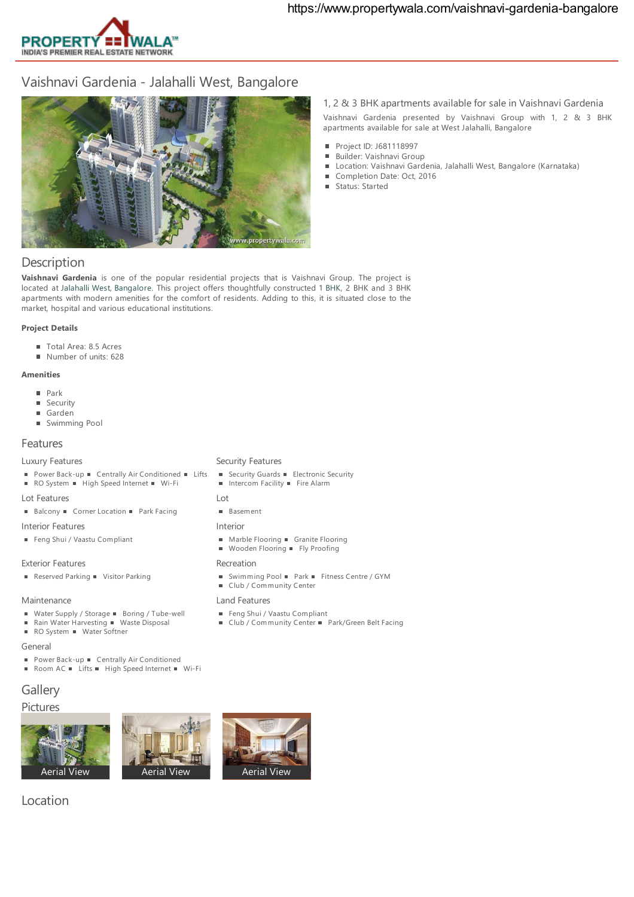

# Vaishnavi Gardenia- Jalahalli West, Bangalore



1, 2 & 3 BHK apartments available for sale in Vaishnavi Gardenia Vaishnavi Gardenia presented by Vaishnavi Group with 1, 2 & 3 BHK apartments available for sale at West Jalahalli, Bangalore

- Project ID: J681118997
- Builder: Vaishnavi Group
- Location: Vaishnavi Gardenia, Jalahalli West, Bangalore (Karnataka)
- Completion Date: Oct, 2016
- Status: Started

## **Description**

**Vaishnavi Gardenia** is one of the popular residential projects that is Vaishnavi Group. The project is located at [Jalahalli](https://www.propertywala.com/jalahalli_west_bangalore) West, [Bangalore](https://www.propertywala.com/bangalore). This project offers thoughtfully constructed 1 [BHK](https://www.propertywala.com/properties/type-residential_apartment_flat/for-sale/location-bangalore_karnataka/bedrooms-1), 2 BHK and 3 BHK apartments with modern amenities for the comfort of residents. Adding to this, it is situated close to the market, hospital and various educational institutions.

#### **Project Details**

- Total Area: 8.5 Acres
- Number of units: 628

#### **Amenities**

- **Park**
- **Security**
- Garden
- **Swimming Pool**

### Features

#### Luxury Features

- Power Back-up Centrally Air Conditioned Lifts
- RO System · High Speed Internet · Wi-Fi

### Lot Features

■ Balcony ■ Corner Location ■ Park Facing

Interior Features

Feng Shui / Vaastu Compliant

#### Exterior Features

Reserved Parking Visitor Parking

#### Maintenance

- Water Supply / Storage Boring / Tube-well
- Rain Water Harvesting Waste Disposal  $\blacksquare$
- RO System Water Softner

#### General

- **Power Back-up Centrally Air Conditioned**
- Room AC  $\blacksquare$  Lifts  $\blacksquare$  High Speed Internet  $\blacksquare$  Wi-Fi

# **Gallery**

# Pictures







# Location

#### **B** Security Guards **Electronic Security** ■ Intercom Facility ■ Fire Alarm

Security Features

- $\overline{\phantom{a}}$
- **Basement**

#### Interior

- Marble Flooring Granite Flooring
- $\blacksquare$  Wooden Flooring  $\blacksquare$  Fly Proofing

#### Recreation

- Swimming Pool Park Fitness Centre / GYM
- Club / Community Center

#### Land Features

- Feng Shui / Vaastu Compliant
- Club / Community Center Park/Green Belt Facing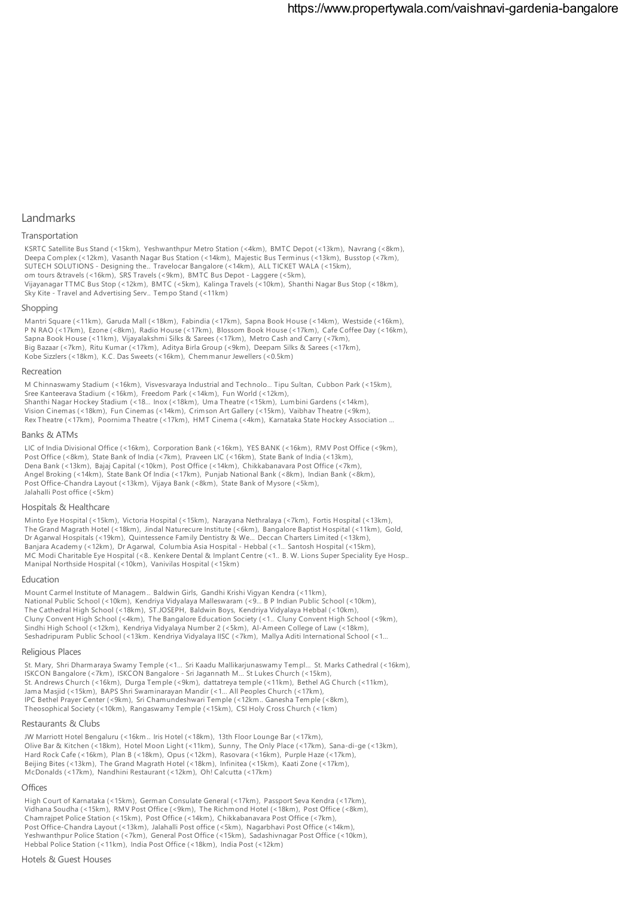#### **Landmarks**

#### Transportation

KSRTC Satellite Bus Stand (<15km), Yeshwanthpur Metro Station (<4km), BMTC Depot (<13km), Navrang (<8km), Deepa Complex (<12km), Vasanth Nagar Bus Station (<14km), Majestic Bus Terminus (<13km), Busstop (<7km), SUTECH SOLUTIONS - Designing the… Travelocar Bangalore (<14km), ALL TICKET WALA (<15km), om tours &travels (<16km), SRS Travels (<9km), BMTC Bus Depot - Laggere (<5km), Vijayanagar TTMC Bus Stop (<12km), BMTC (<5km), Kalinga Travels (<10km), Shanthi Nagar Bus Stop (<18km), Sky Kite - Travel and Advertising Serv…Tempo Stand (<11km)

#### Shopping

Mantri Square (<11km), Garuda Mall (<18km), Fabindia (<17km), Sapna Book House (<14km), Westside (<16km), P N RAO (<17km), Ezone (<8km), Radio House (<17km), Blossom Book House (<17km), Cafe Coffee Day (<16km), Sapna Book House (<11km), Vijayalakshmi Silks & Sarees (<17km), Metro Cash and Carry (<7km), Big Bazaar (<7km), Ritu Kumar (<17km), Aditya Birla Group (<9km), Deepam Silks & Sarees (<17km), Kobe Sizzlers (<18km), K.C. Das Sweets (<16km), Chemmanur Jewellers (<0.5km)

#### Recreation

M Chinnaswamy Stadium (<16km), Visvesvaraya Industrial and Technolo… Tipu Sultan, Cubbon Park (<15km), Sree Kanteerava Stadium (<16km), Freedom Park (<14km), Fun World (<12km), Shanthi Nagar Hockey Stadium (<18… Inox (<18km), Uma Theatre (<15km), Lumbini Gardens (<14km), Vision Cinemas (<18km), Fun Cinemas (<14km), Crimson Art Gallery (<15km), Vaibhav Theatre (<9km), RexTheatre (<17km), Poornima Theatre (<17km), HMT Cinema (<4km), Karnataka State Hockey Association …

#### Banks & ATMs

LIC of India Divisional Office (<16km), Corporation Bank (<16km), YES BANK (<16km), RMV Post Office (<9km), Post Office (<8km), State Bank of India (<7km), Praveen LIC (<16km), State Bank of India (<13km), Dena Bank (<13km), Bajaj Capital (<10km), Post Office (<14km), Chikkabanavara Post Office (<7km), Angel Broking (<14km), State Bank Of India (<17km), Punjab National Bank (<8km), Indian Bank (<8km), Post Office-Chandra Layout (<13km), Vijaya Bank (<8km), State Bank of Mysore (<5km), Jalahalli Post office (<5km)

#### Hospitals & Healthcare

Minto Eye Hospital (<15km), Victoria Hospital (<15km), Narayana Nethralaya (<7km), Fortis Hospital (<13km), The Grand Magrath Hotel (<18km), Jindal Naturecure Institute (<6km), Bangalore Baptist Hospital (<11km), Gold, Dr Agarwal Hospitals (<19km), Quintessence Family Dentistry & We… Deccan Charters Limited (<13km), Banjara Academy (<12km), Dr Agarwal, Columbia Asia Hospital - Hebbal (<1… Santosh Hospital (<15km), MC Modi Charitable Eye Hospital (<8…Kenkere Dental & Implant Centre (<1…B. W. Lions Super Speciality Eye Hosp… Manipal Northside Hospital (<10km), Vanivilas Hospital (<15km)

#### Education

Mount Carmel Institute of Managem… Baldwin Girls, Gandhi Krishi Vigyan Kendra (<11km), National Public School (<10km), Kendriya Vidyalaya Malleswaram (<9… B P Indian Public School (<10km), The Cathedral High School (<18km), ST.JOSEPH, Baldwin Boys, Kendriya Vidyalaya Hebbal (<10km), Cluny Convent High School (<4km), The Bangalore Education Society (<1… Cluny Convent High School (<9km), Sindhi High School (<12km), Kendriya Vidyalaya Number 2 (<5km), Al-Ameen College of Law (<18km), Seshadripuram Public School (<13km…Kendriya Vidyalaya IISC (<7km), Mallya Aditi International School (<1…

#### Religious Places

St. Mary, Shri Dharmaraya Swamy Temple (<1… Sri Kaadu Mallikarjunaswamy Templ… St. Marks Cathedral (<16km), ISKCON Bangalore (<7km), ISKCON Bangalore - Sri Jagannath M… St Lukes Church (<15km), St. Andrews Church (<16km), Durga Temple (<9km), dattatreya temple (<11km), Bethel AG Church (<11km), Jama Masjid (<15km), BAPS Shri Swaminarayan Mandir (<1… All Peoples Church (<17km), IPC Bethel Prayer Center (<9km), Sri Chamundeshwari Temple (<12km…Ganesha Temple (<8km), Theosophical Society (<10km), Rangaswamy Temple (<15km), CSI Holy Cross Church (<1km)

#### Restaurants & Clubs

JW Marriott Hotel Bengaluru (<16km… Iris Hotel (<18km), 13th Floor Lounge Bar (<17km), Olive Bar & Kitchen (<18km), Hotel Moon Light (<11km), Sunny, The Only Place (<17km), Sana-di-ge (<13km), Hard Rock Cafe (<16km), Plan B (<18km), Opus (<12km), Rasovara (<16km), Purple Haze (<17km), Beijing Bites (<13km), The Grand Magrath Hotel (<18km), Infinitea (<15km), Kaati Zone (<17km), McDonalds (<17km), Nandhini Restaurant (<12km), Oh! Calcutta (<17km)

#### **Offices**

High Court of Karnataka (<15km), German Consulate General (<17km), Passport Seva Kendra (<17km), Vidhana Soudha (<15km), RMV Post Office (<9km), The Richmond Hotel (<18km), Post Office (<8km), Chamrajpet Police Station (<15km), Post Office (<14km), Chikkabanavara Post Office (<7km), Post Office-Chandra Layout (<13km), Jalahalli Post office (<5km), Nagarbhavi Post Office (<14km), Yeshwanthpur Police Station (<7km), General Post Office (<15km), Sadashivnagar Post Office (<10km), Hebbal Police Station (<11km), India Post Office (<18km), India Post (<12km)

#### Hotels & Guest Houses